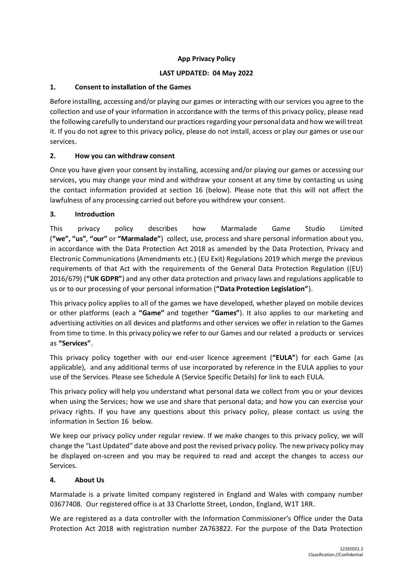# **App Privacy Policy**

### **LAST UPDATED: 04 May 2022**

### **1. Consent to installation of the Games**

Before installing, accessing and/or playing our games or interacting with our services you agree to the collection and use of your information in accordance with the terms of this privacy policy, please read the following carefully to understand our practices regarding your personal data and how we will treat it. If you do not agree to this privacy policy, please do not install, access or play our games or use our services.

### **2. How you can withdraw consent**

Once you have given your consent by installing, accessing and/or playing our games or accessing our services, you may change your mind and withdraw your consent at any time by contacting us using the contact information provided at section [16](#page-11-0) (below). Please note that this will not affect the lawfulness of any processing carried out before you withdrew your consent.

# **3. Introduction**

This privacy policy describes how Marmalade Game Studio Limited (**"we", "us"**, **"our"** or **"Marmalade"**) collect, use, process and share personal information about you, in accordance with the Data Protection Act 2018 as amended by the Data Protection, Privacy and Electronic Communications (Amendments etc.) (EU Exit) Regulations 2019 which merge the previous requirements of that Act with the requirements of the General Data Protection Regulation ((EU) 2016/679) (**"UK GDPR"**) and any other data protection and privacy laws and regulations applicable to us or to our processing of your personal information (**"Data Protection Legislation"**).

This privacy policy applies to all of the games we have developed, whether played on mobile devices or other platforms (each a **"Game"** and together **"Games"**). It also applies to our marketing and advertising activities on all devices and platforms and other services we offer in relation to the Games from time to time. In this privacy policy we refer to our Games and our related a products or services as **"Services"**.

This privacy policy together with our end-user licence agreement (**"EULA"**) for each Game (as applicable), and any additional terms of use incorporated by reference in the EULA applies to your use of the Services. Please see Schedule A (Service Specific Details) for link to each EULA.

This privacy policy will help you understand what personal data we collect from you or your devices when using the Services; how we use and share that personal data; and how you can exercise your privacy rights. If you have any questions about this privacy policy, please contact us using the information in Section [16](#page-11-0) below.

We keep our privacy policy under regular review. If we make changes to this privacy policy, we will change the "Last Updated" date above and post the revised privacy policy. The new privacy policy may be displayed on-screen and you may be required to read and accept the changes to access our Services.

### **4. About Us**

Marmalade is a private limited company registered in England and Wales with company number 03677408. Our registered office is at 33 Charlotte Street, London, England, W1T 1RR.

We are registered as a data controller with the Information Commissioner's Office under the Data Protection Act 2018 with registration number ZA763822. For the purpose of the Data Protection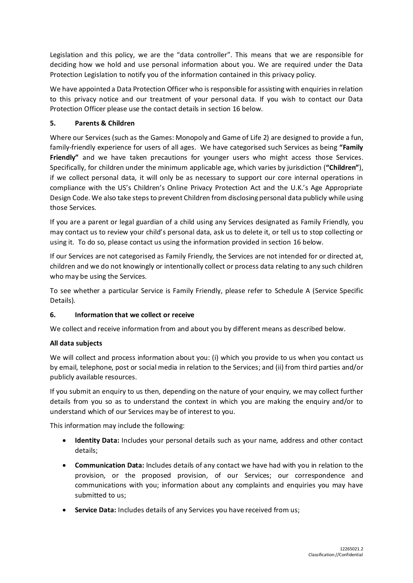Legislation and this policy, we are the "data controller". This means that we are responsible for deciding how we hold and use personal information about you. We are required under the Data Protection Legislation to notify you of the information contained in this privacy policy.

We have appointed a Data Protection Officer who is responsible for assisting with enquiries in relation to this privacy notice and our treatment of your personal data. If you wish to contact our Data Protection Officer please use the contact details in sectio[n 16](#page-11-0) below.

# **5. Parents & Children**

Where our Services (such as the Games: Monopoly and Game of Life 2) are designed to provide a fun, family-friendly experience for users of all ages. We have categorised such Services as being **"Family Friendly"** and we have taken precautions for younger users who might access those Services. Specifically, for children under the minimum applicable age, which varies by jurisdiction (**"Children"**), if we collect personal data, it will only be as necessary to support our core internal operations in compliance with the US's Children's Online Privacy Protection Act and the U.K.'s Age Appropriate Design Code. We also take steps to prevent Children from disclosing personal data publicly while using those Services.

If you are a parent or legal guardian of a child using any Services designated as Family Friendly, you may contact us to review your child's personal data, ask us to delete it, or tell us to stop collecting or using it. To do so, please contact us using the information provided in section [16](#page-11-0) below.

If our Services are not categorised as Family Friendly, the Services are not intended for or directed at, children and we do not knowingly or intentionally collect or process data relating to any such children who may be using the Services.

To see whether a particular Service is Family Friendly, please refer to Schedule A (Service Specific Details).

### **6. Information that we collect or receive**

We collect and receive information from and about you by different means as described below.

### **All data subjects**

We will collect and process information about you: (i) which you provide to us when you contact us by email, telephone, post or social media in relation to the Services; and (ii) from third parties and/or publicly available resources.

If you submit an enquiry to us then, depending on the nature of your enquiry, we may collect further details from you so as to understand the context in which you are making the enquiry and/or to understand which of our Services may be of interest to you.

This information may include the following:

- **Identity Data:** Includes your personal details such as your name, address and other contact details;
- **Communication Data:** Includes details of any contact we have had with you in relation to the provision, or the proposed provision, of our Services; our correspondence and communications with you; information about any complaints and enquiries you may have submitted to us;
- **Service Data:** Includes details of any Services you have received from us;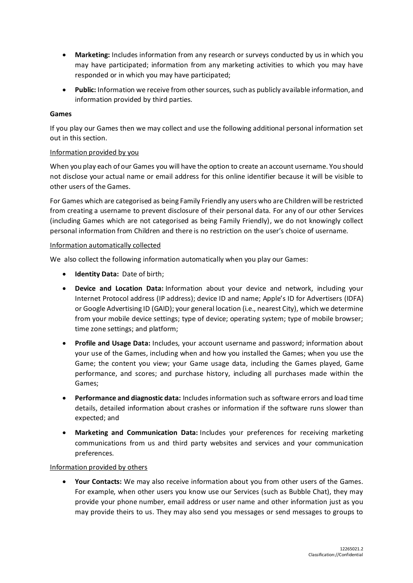- **Marketing:** Includes information from any research or surveys conducted by us in which you may have participated; information from any marketing activities to which you may have responded or in which you may have participated;
- **Public:** Information we receive from other sources, such as publicly available information, and information provided by third parties.

#### **Games**

If you play our Games then we may collect and use the following additional personal information set out in this section.

#### Information provided by you

When you play each of our Games you will have the option to create an account username. You should not disclose your actual name or email address for this online identifier because it will be visible to other users of the Games.

For Games which are categorised as being Family Friendly any users who are Children will be restricted from creating a username to prevent disclosure of their personal data. For any of our other Services (including Games which are not categorised as being Family Friendly), we do not knowingly collect personal information from Children and there is no restriction on the user's choice of username.

#### Information automatically collected

We also collect the following information automatically when you play our Games:

- **Identity Data:** Date of birth;
- **Device and Location Data:** Information about your device and network, including your Internet Protocol address (IP address); device ID and name; Apple's ID for Advertisers (IDFA) or Google Advertising ID (GAID); your general location (i.e., nearest City), which we determine from your mobile device settings; type of device; operating system; type of mobile browser; time zone settings; and platform;
- **Profile and Usage Data:** Includes, your account username and password; information about your use of the Games, including when and how you installed the Games; when you use the Game; the content you view; your Game usage data, including the Games played, Game performance, and scores; and purchase history, including all purchases made within the Games;
- **Performance and diagnostic data:** Includes information such as software errors and load time details, detailed information about crashes or information if the software runs slower than expected; and
- **Marketing and Communication Data:** Includes your preferences for receiving marketing communications from us and third party websites and services and your communication preferences.

#### Information provided by others

• **Your Contacts:** We may also receive information about you from other users of the Games. For example, when other users you know use our Services (such as Bubble Chat), they may provide your phone number, email address or user name and other information just as you may provide theirs to us. They may also send you messages or send messages to groups to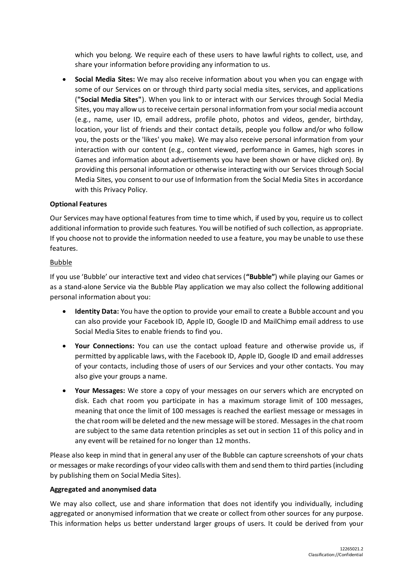which you belong. We require each of these users to have lawful rights to collect, use, and share your information before providing any information to us.

• **Social Media Sites:** We may also receive information about you when you can engage with some of our Services on or through third party social media sites, services, and applications (**"Social Media Sites"**). When you link to or interact with our Services through Social Media Sites, you may allow us to receive certain personal information from your social media account (e.g., name, user ID, email address, profile photo, photos and videos, gender, birthday, location, your list of friends and their contact details, people you follow and/or who follow you, the posts or the 'likes' you make). We may also receive personal information from your interaction with our content (e.g., content viewed, performance in Games, high scores in Games and information about advertisements you have been shown or have clicked on). By providing this personal information or otherwise interacting with our Services through Social Media Sites, you consent to our use of Information from the Social Media Sites in accordance with this Privacy Policy.

#### **Optional Features**

Our Services may have optional features from time to time which, if used by you, require us to collect additional information to provide such features. You will be notified of such collection, as appropriate. If you choose not to provide the information needed to use a feature, you may be unable to use these features.

#### Bubble

If you use 'Bubble' our interactive text and video chat services (**"Bubble"**) while playing our Games or as a stand-alone Service via the Bubble Play application we may also collect the following additional personal information about you:

- **Identity Data:** You have the option to provide your email to create a Bubble account and you can also provide your Facebook ID, Apple ID, Google ID and MailChimp email address to use Social Media Sites to enable friends to find you.
- **Your Connections:** You can use the contact upload feature and otherwise provide us, if permitted by applicable laws, with the Facebook ID, Apple ID, Google ID and email addresses of your contacts, including those of users of our Services and your other contacts. You may also give your groups a name.
- **Your Messages:** We store a copy of your messages on our servers which are encrypted on disk. Each chat room you participate in has a maximum storage limit of 100 messages, meaning that once the limit of 100 messages is reached the earliest message or messages in the chat room will be deleted and the new message will be stored. Messages in the chat room are subject to the same data retention principles as set out in section [11](#page-6-0) of this policy and in any event will be retained for no longer than 12 months.

Please also keep in mind that in general any user of the Bubble can capture screenshots of your chats or messages or make recordings of your video calls with them and send them to third parties (including by publishing them on Social Media Sites).

#### **Aggregated and anonymised data**

We may also collect, use and share information that does not identify you individually, including aggregated or anonymised information that we create or collect from other sources for any purpose. This information helps us better understand larger groups of users. It could be derived from your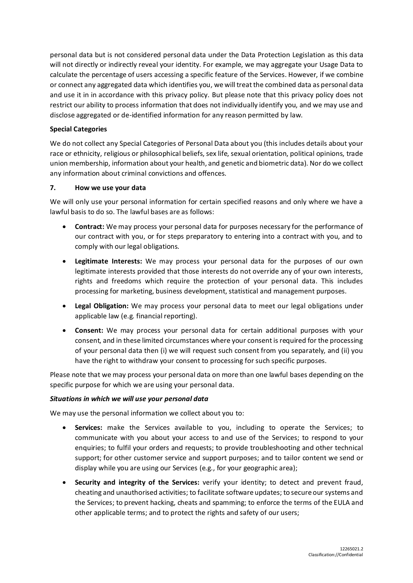personal data but is not considered personal data under the Data Protection Legislation as this data will not directly or indirectly reveal your identity. For example, we may aggregate your Usage Data to calculate the percentage of users accessing a specific feature of the Services. However, if we combine or connect any aggregated data which identifies you, we will treat the combined data as personal data and use it in in accordance with this privacy policy. But please note that this privacy policy does not restrict our ability to process information that does not individually identify you, and we may use and disclose aggregated or de-identified information for any reason permitted by law.

# **Special Categories**

We do not collect any Special Categories of Personal Data about you (this includes details about your race or ethnicity, religious or philosophical beliefs, sex life, sexual orientation, political opinions, trade union membership, information about your health, and genetic and biometric data). Nor do we collect any information about criminal convictions and offences.

### **7. How we use your data**

We will only use your personal information for certain specified reasons and only where we have a lawful basis to do so. The lawful bases are as follows:

- **Contract:** We may process your personal data for purposes necessary for the performance of our contract with you, or for steps preparatory to entering into a contract with you, and to comply with our legal obligations.
- **Legitimate Interests:** We may process your personal data for the purposes of our own legitimate interests provided that those interests do not override any of your own interests, rights and freedoms which require the protection of your personal data. This includes processing for marketing, business development, statistical and management purposes.
- **Legal Obligation:** We may process your personal data to meet our legal obligations under applicable law (e.g. financial reporting).
- **Consent:** We may process your personal data for certain additional purposes with your consent, and in these limited circumstances where your consent is required for the processing of your personal data then (i) we will request such consent from you separately, and (ii) you have the right to withdraw your consent to processing for such specific purposes.

Please note that we may process your personal data on more than one lawful bases depending on the specific purpose for which we are using your personal data.

### *Situations in which we will use your personal data*

We may use the personal information we collect about you to:

- **Services:** make the Services available to you, including to operate the Services; to communicate with you about your access to and use of the Services; to respond to your enquiries; to fulfil your orders and requests; to provide troubleshooting and other technical support; for other customer service and support purposes; and to tailor content we send or display while you are using our Services (e.g., for your geographic area);
- **Security and integrity of the Services:** verify your identity; to detect and prevent fraud, cheating and unauthorised activities; to facilitate software updates; to secure our systems and the Services; to prevent hacking, cheats and spamming; to enforce the terms of the EULA and other applicable terms; and to protect the rights and safety of our users;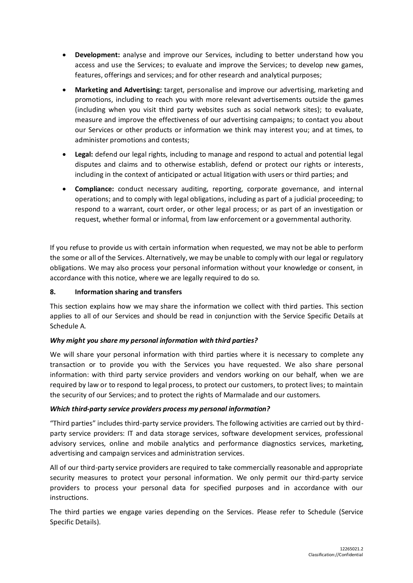- **Development:** analyse and improve our Services, including to better understand how you access and use the Services; to evaluate and improve the Services; to develop new games, features, offerings and services; and for other research and analytical purposes;
- **Marketing and Advertising:** target, personalise and improve our advertising, marketing and promotions, including to reach you with more relevant advertisements outside the games (including when you visit third party websites such as social network sites); to evaluate, measure and improve the effectiveness of our advertising campaigns; to contact you about our Services or other products or information we think may interest you; and at times, to administer promotions and contests;
- **Legal:** defend our legal rights, including to manage and respond to actual and potential legal disputes and claims and to otherwise establish, defend or protect our rights or interests, including in the context of anticipated or actual litigation with users or third parties; and
- **Compliance:** conduct necessary auditing, reporting, corporate governance, and internal operations; and to comply with legal obligations, including as part of a judicial proceeding; to respond to a warrant, court order, or other legal process; or as part of an investigation or request, whether formal or informal, from law enforcement or a governmental authority.

If you refuse to provide us with certain information when requested, we may not be able to perform the some or all of the Services. Alternatively, we may be unable to comply with our legal or regulatory obligations. We may also process your personal information without your knowledge or consent, in accordance with this notice, where we are legally required to do so.

### **8. Information sharing and transfers**

This section explains how we may share the information we collect with third parties. This section applies to all of our Services and should be read in conjunction with the Service Specific Details at Schedule A.

### *Why might you share my personal information with third parties?*

We will share your personal information with third parties where it is necessary to complete any transaction or to provide you with the Services you have requested. We also share personal information: with third party service providers and vendors working on our behalf, when we are required by law or to respond to legal process, to protect our customers, to protect lives; to maintain the security of our Services; and to protect the rights of Marmalade and our customers.

### *Which third-party service providers process my personal information?*

"Third parties" includes third-party service providers. The following activities are carried out by thirdparty service providers: IT and data storage services, software development services, professional advisory services, online and mobile analytics and performance diagnostics services, marketing, advertising and campaign services and administration services.

All of our third-party service providers are required to take commercially reasonable and appropriate security measures to protect your personal information. We only permit our third-party service providers to process your personal data for specified purposes and in accordance with our instructions.

The third parties we engage varies depending on the Services. Please refer to Schedule (Service Specific Details).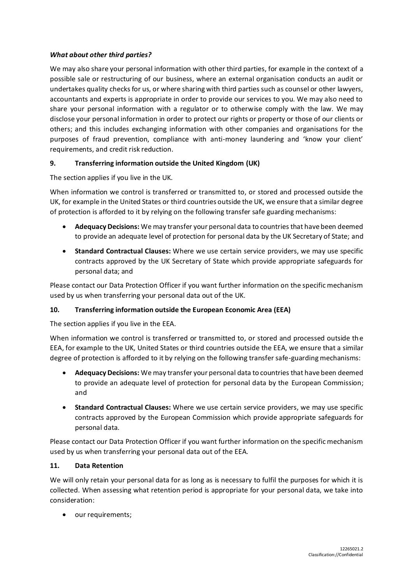### *What about other third parties?*

We may also share your personal information with other third parties, for example in the context of a possible sale or restructuring of our business, where an external organisation conducts an audit or undertakes quality checks for us, or where sharing with third parties such as counsel or other lawyers, accountants and experts is appropriate in order to provide our services to you. We may also need to share your personal information with a regulator or to otherwise comply with the law. We may disclose your personal information in order to protect our rights or property or those of our clients or others; and this includes exchanging information with other companies and organisations for the purposes of fraud prevention, compliance with anti-money laundering and 'know your client' requirements, and credit risk reduction.

### **9. Transferring information outside the United Kingdom (UK)**

The section applies if you live in the UK.

When information we control is transferred or transmitted to, or stored and processed outside the UK, for example in the United States or third countries outside the UK, we ensure that a similar degree of protection is afforded to it by relying on the following transfer safe guarding mechanisms:

- **Adequacy Decisions:** We may transfer your personal data to countries that have been deemed to provide an adequate level of protection for personal data by the UK Secretary of State; and
- **Standard Contractual Clauses:** Where we use certain service providers, we may use specific contracts approved by the UK Secretary of State which provide appropriate safeguards for personal data; and

Please contact our Data Protection Officer if you want further information on the specific mechanism used by us when transferring your personal data out of the UK.

#### **10. Transferring information outside the European Economic Area (EEA)**

The section applies if you live in the EEA.

When information we control is transferred or transmitted to, or stored and processed outside the EEA, for example to the UK, United States or third countries outside the EEA, we ensure that a similar degree of protection is afforded to it by relying on the following transfer safe-guarding mechanisms:

- **Adequacy Decisions:** We may transfer your personal data to countries that have been deemed to provide an adequate level of protection for personal data by the European Commission; and
- **Standard Contractual Clauses:** Where we use certain service providers, we may use specific contracts approved by the European Commission which provide appropriate safeguards for personal data.

Please contact our Data Protection Officer if you want further information on the specific mechanism used by us when transferring your personal data out of the EEA.

#### <span id="page-6-0"></span>**11. Data Retention**

We will only retain your personal data for as long as is necessary to fulfil the purposes for which it is collected. When assessing what retention period is appropriate for your personal data, we take into consideration:

• our requirements;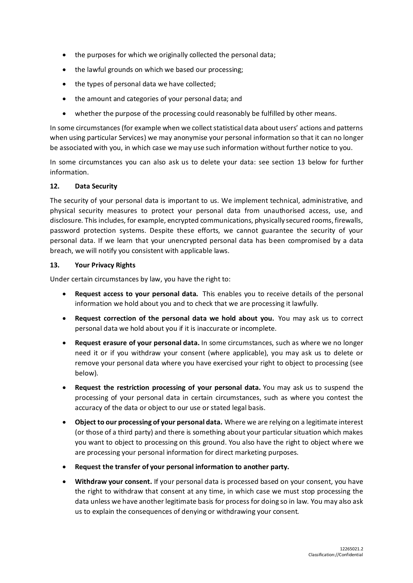- the purposes for which we originally collected the personal data;
- the lawful grounds on which we based our processing;
- the types of personal data we have collected;
- the amount and categories of your personal data; and
- whether the purpose of the processing could reasonably be fulfilled by other means.

In some circumstances (for example when we collect statistical data about users' actions and patterns when using particular Services) we may anonymise your personal information so that it can no longer be associated with you, in which case we may use such information without further notice to you.

In some circumstances you can also ask us to delete your data: see section [13](#page-7-0) below for further information.

### **12. Data Security**

The security of your personal data is important to us. We implement technical, administrative, and physical security measures to protect your personal data from unauthorised access, use, and disclosure. This includes, for example, encrypted communications, physically secured rooms, firewalls, password protection systems. Despite these efforts, we cannot guarantee the security of your personal data. If we learn that your unencrypted personal data has been compromised by a data breach, we will notify you consistent with applicable laws.

#### <span id="page-7-0"></span>**13. Your Privacy Rights**

Under certain circumstances by law, you have the right to:

- **Request access to your personal data.** This enables you to receive details of the personal information we hold about you and to check that we are processing it lawfully.
- **Request correction of the personal data we hold about you.** You may ask us to correct personal data we hold about you if it is inaccurate or incomplete.
- **Request erasure of your personal data.** In some circumstances, such as where we no longer need it or if you withdraw your consent (where applicable), you may ask us to delete or remove your personal data where you have exercised your right to object to processing (see below).
- **Request the restriction processing of your personal data.** You may ask us to suspend the processing of your personal data in certain circumstances, such as where you contest the accuracy of the data or object to our use or stated legal basis.
- **Object to our processing of your personal data.** Where we are relying on a legitimate interest (or those of a third party) and there is something about your particular situation which makes you want to object to processing on this ground. You also have the right to object where we are processing your personal information for direct marketing purposes.
- **Request the transfer of your personal information to another party.**
- **Withdraw your consent.** If your personal data is processed based on your consent, you have the right to withdraw that consent at any time, in which case we must stop processing the data unless we have another legitimate basis for process for doing so in law. You may also ask us to explain the consequences of denying or withdrawing your consent.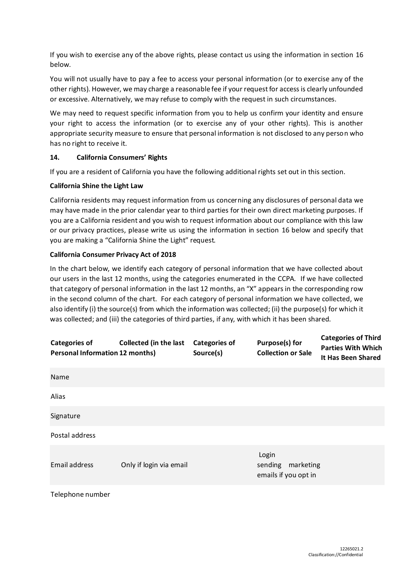If you wish to exercise any of the above rights, please contact us using the information in section [16](#page-11-0) below.

You will not usually have to pay a fee to access your personal information (or to exercise any of the other rights). However, we may charge a reasonable fee if your request for access is clearly unfounded or excessive. Alternatively, we may refuse to comply with the request in such circumstances.

We may need to request specific information from you to help us confirm your identity and ensure your right to access the information (or to exercise any of your other rights). This is another appropriate security measure to ensure that personal information is not disclosed to any person who has no right to receive it.

### **14. California Consumers' Rights**

If you are a resident of California you have the following additional rights set out in this section.

# **California Shine the Light Law**

California residents may request information from us concerning any disclosures of personal data we may have made in the prior calendar year to third parties for their own direct marketing purposes. If you are a California resident and you wish to request information about our compliance with this law or our privacy practices, please write us using the information in section [16](#page-11-0) below and specify that you are making a "California Shine the Light" request.

# **California Consumer Privacy Act of 2018**

In the chart below, we identify each category of personal information that we have collected about our users in the last 12 months, using the categories enumerated in the CCPA. If we have collected that category of personal information in the last 12 months, an "X" appears in the corresponding row in the second column of the chart. For each category of personal information we have collected, we also identify (i) the source(s) from which the information was collected; (ii) the purpose(s) for which it was collected; and (iii) the categories of third parties, if any, with which it has been shared.

| <b>Categories of</b><br><b>Personal Information 12 months)</b> | <b>Collected (in the last</b> | <b>Categories of</b><br>Source(s) | <b>Purpose(s) for</b><br><b>Collection or Sale</b>    | <b>Categories of Third</b><br><b>Parties With Which</b><br>It Has Been Shared |
|----------------------------------------------------------------|-------------------------------|-----------------------------------|-------------------------------------------------------|-------------------------------------------------------------------------------|
| Name                                                           |                               |                                   |                                                       |                                                                               |
| Alias                                                          |                               |                                   |                                                       |                                                                               |
| Signature                                                      |                               |                                   |                                                       |                                                                               |
| Postal address                                                 |                               |                                   |                                                       |                                                                               |
| <b>Email address</b>                                           | Only if login via email       |                                   | Login<br>sending<br>marketing<br>emails if you opt in |                                                                               |
| Telephone number                                               |                               |                                   |                                                       |                                                                               |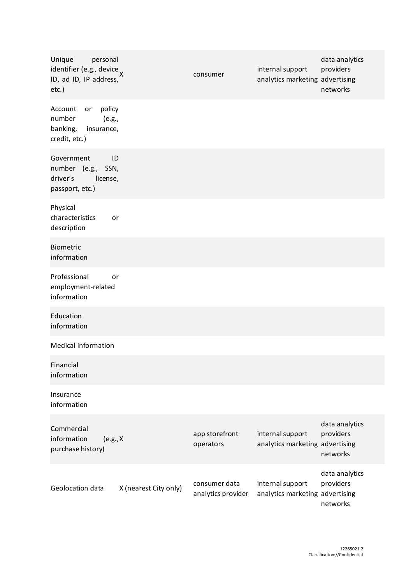| Unique<br>personal<br>identifier (e.g., device x<br>ID, ad ID, IP address,<br>$etc.$ ) |                       | consumer                            | internal support<br>analytics marketing advertising | data analytics<br>providers<br>networks |  |  |
|----------------------------------------------------------------------------------------|-----------------------|-------------------------------------|-----------------------------------------------------|-----------------------------------------|--|--|
| policy<br>Account<br>or<br>number<br>(e.g.,<br>banking,<br>insurance,<br>credit, etc.) |                       |                                     |                                                     |                                         |  |  |
| Government<br>number (e.g., SSN,<br>driver's<br>license,<br>passport, etc.)            | ID                    |                                     |                                                     |                                         |  |  |
| Physical<br>characteristics<br>description                                             | or                    |                                     |                                                     |                                         |  |  |
| <b>Biometric</b><br>information                                                        |                       |                                     |                                                     |                                         |  |  |
| Professional<br>employment-related<br>information                                      | or                    |                                     |                                                     |                                         |  |  |
| Education<br>information                                                               |                       |                                     |                                                     |                                         |  |  |
| <b>Medical information</b>                                                             |                       |                                     |                                                     |                                         |  |  |
| Financial<br>information                                                               |                       |                                     |                                                     |                                         |  |  |
| Insurance<br>information                                                               |                       |                                     |                                                     |                                         |  |  |
| Commercial<br>information<br>(e.g., X)<br>purchase history)                            |                       | app storefront<br>operators         | internal support<br>analytics marketing advertising | data analytics<br>providers<br>networks |  |  |
| Geolocation data                                                                       | X (nearest City only) | consumer data<br>analytics provider | internal support<br>analytics marketing advertising | data analytics<br>providers<br>networks |  |  |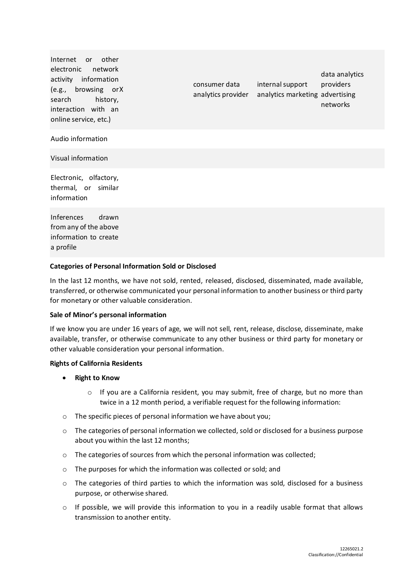| Internet or other<br>electronic network<br>activity information<br>(e.g., browsing orX<br>search history,<br>interaction with an<br>online service, etc.) | consumer data<br>analytics provider | internal support<br>analytics marketing advertising | data analytics<br>providers<br>networks |
|-----------------------------------------------------------------------------------------------------------------------------------------------------------|-------------------------------------|-----------------------------------------------------|-----------------------------------------|
| Audio information                                                                                                                                         |                                     |                                                     |                                         |
| Visual information                                                                                                                                        |                                     |                                                     |                                         |
| Electronic, olfactory,<br>thermal, or similar<br>information                                                                                              |                                     |                                                     |                                         |
| Inferences<br>drawn<br>from any of the above<br>information to create<br>a profile                                                                        |                                     |                                                     |                                         |
|                                                                                                                                                           |                                     |                                                     |                                         |

#### **Categories of Personal Information Sold or Disclosed**

In the last 12 months, we have not sold, rented, released, disclosed, disseminated, made available, transferred, or otherwise communicated your personal information to another business or third party for monetary or other valuable consideration.

#### **Sale of Minor's personal information**

If we know you are under 16 years of age, we will not sell, rent, release, disclose, disseminate, make available, transfer, or otherwise communicate to any other business or third party for monetary or other valuable consideration your personal information.

#### **Rights of California Residents**

- **Right to Know**
	- $\circ$  If you are a California resident, you may submit, free of charge, but no more than twice in a 12 month period, a verifiable request for the following information:
- o The specific pieces of personal information we have about you;
- o The categories of personal information we collected, sold or disclosed for a business purpose about you within the last 12 months;
- o The categories of sources from which the personal information was collected;
- o The purposes for which the information was collected or sold; and
- o The categories of third parties to which the information was sold, disclosed for a business purpose, or otherwise shared.
- $\circ$  If possible, we will provide this information to you in a readily usable format that allows transmission to another entity.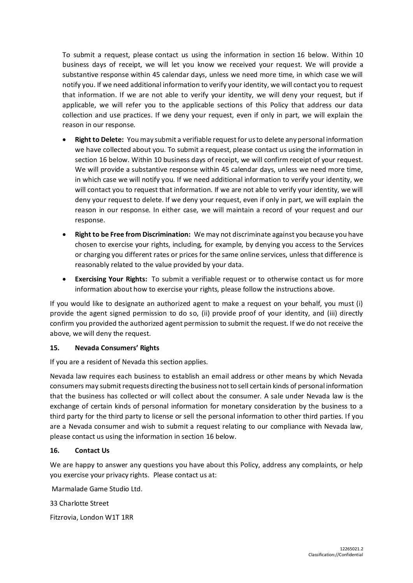To submit a request, please contact us using the information in section [16](#page-11-0) below. Within 10 business days of receipt, we will let you know we received your request. We will provide a substantive response within 45 calendar days, unless we need more time, in which case we will notify you. If we need additional information to verify your identity, we will contact you to request that information. If we are not able to verify your identity, we will deny your request, but if applicable, we will refer you to the applicable sections of this Policy that address our data collection and use practices. If we deny your request, even if only in part, we will explain the reason in our response.

- **Right to Delete:** You may submit a verifiable request for us to delete any personal information we have collected about you. To submit a request, please contact us using the information in sectio[n 16](#page-11-0) below. Within 10 business days of receipt, we will confirm receipt of your request. We will provide a substantive response within 45 calendar days, unless we need more time, in which case we will notify you. If we need additional information to verify your identity, we will contact you to request that information. If we are not able to verify your identity, we will deny your request to delete. If we deny your request, even if only in part, we will explain the reason in our response. In either case, we will maintain a record of your request and our response.
- **Right to be Free from Discrimination:** We may not discriminate against you because you have chosen to exercise your rights, including, for example, by denying you access to the Services or charging you different rates or prices for the same online services, unless that difference is reasonably related to the value provided by your data.
- **Exercising Your Rights:** To submit a verifiable request or to otherwise contact us for more information about how to exercise your rights, please follow the instructions above.

If you would like to designate an authorized agent to make a request on your behalf, you must (i) provide the agent signed permission to do so, (ii) provide proof of your identity, and (iii) directly confirm you provided the authorized agent permission to submit the request. If we do not receive the above, we will deny the request.

### **15. Nevada Consumers' Rights**

If you are a resident of Nevada this section applies.

Nevada law requires each business to establish an email address or other means by which Nevada consumers may submit requests directing the business not to sell certain kinds of personal information that the business has collected or will collect about the consumer. A sale under Nevada law is the exchange of certain kinds of personal information for monetary consideration by the business to a third party for the third party to license or sell the personal information to other third parties. If you are a Nevada consumer and wish to submit a request relating to our compliance with Nevada law, please contact us using the information in sectio[n 16](#page-11-0) below.

#### <span id="page-11-0"></span>**16. Contact Us**

We are happy to answer any questions you have about this Policy, address any complaints, or help you exercise your privacy rights. Please contact us at:

Marmalade Game Studio Ltd.

33 Charlotte Street

Fitzrovia, London W1T 1RR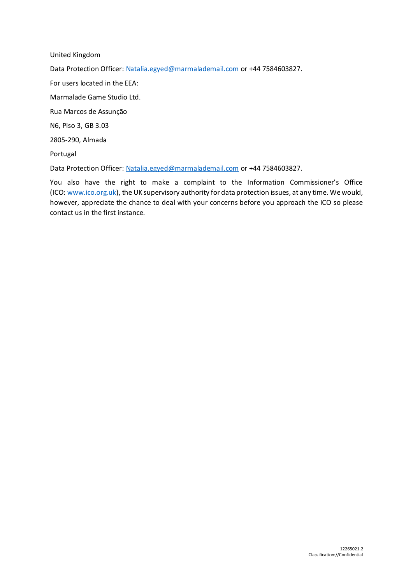United Kingdom Data Protection Officer: [Natalia.egyed@marmalademail.com](mailto:Natalia.egyed@marmalademail.com) or +44 7584603827. For users located in the EEA: Marmalade Game Studio Ltd. Rua Marcos de Assunção N6, Piso 3, GB 3.03 2805-290, Almada Portugal

Data Protection Officer: [Natalia.egyed@marmalademail.com](mailto:Natalia.egyed@marmalademail.com) or +44 7584603827.

You also have the right to make a complaint to the Information Commissioner's Office (ICO: [www.ico.org.uk\)](http://www.ico.org.uk/), the UK supervisory authority for data protection issues, at any time. We would, however, appreciate the chance to deal with your concerns before you approach the ICO so please contact us in the first instance.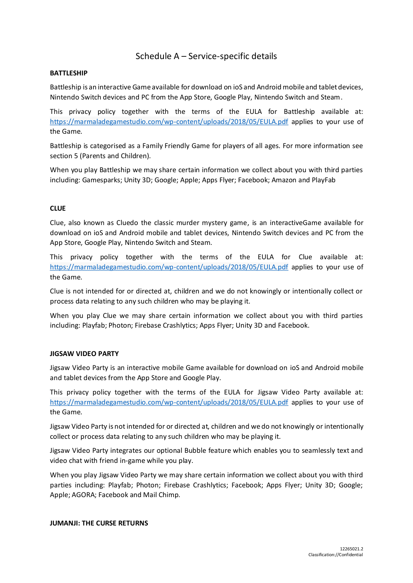# Schedule A – Service-specific details

#### **BATTLESHIP**

Battleship is an interactive Game available for download on ioS and Android mobile and tablet devices, Nintendo Switch devices and PC from the App Store, Google Play, Nintendo Switch and Steam.

This privacy policy together with the terms of the EULA for Battleship available at: <https://marmaladegamestudio.com/wp-content/uploads/2018/05/EULA.pdf> applies to your use of the Game.

Battleship is categorised as a Family Friendly Game for players of all ages. For more information see section 5 (Parents and Children).

When you play Battleship we may share certain information we collect about you with third parties including: Gamesparks; Unity 3D; Google; Apple; Apps Flyer; Facebook; Amazon and PlayFab

#### **CLUE**

Clue, also known as Cluedo the classic murder mystery game, is an interactiveGame available for download on ioS and Android mobile and tablet devices, Nintendo Switch devices and PC from the App Store, Google Play, Nintendo Switch and Steam.

This privacy policy together with the terms of the EULA for Clue available at: <https://marmaladegamestudio.com/wp-content/uploads/2018/05/EULA.pdf> applies to your use of the Game.

Clue is not intended for or directed at, children and we do not knowingly or intentionally collect or process data relating to any such children who may be playing it.

When you play Clue we may share certain information we collect about you with third parties including: Playfab; Photon; Firebase Crashlytics; Apps Flyer; Unity 3D and Facebook.

#### **JIGSAW VIDEO PARTY**

Jigsaw Video Party is an interactive mobile Game available for download on ioS and Android mobile and tablet devices from the App Store and Google Play.

This privacy policy together with the terms of the EULA for Jigsaw Video Party available at: <https://marmaladegamestudio.com/wp-content/uploads/2018/05/EULA.pdf> applies to your use of the Game.

Jigsaw Video Party is not intended for or directed at, children and we do not knowingly or intentionally collect or process data relating to any such children who may be playing it.

Jigsaw Video Party integrates our optional Bubble feature which enables you to seamlessly text and video chat with friend in-game while you play.

When you play Jigsaw Video Party we may share certain information we collect about you with third parties including: Playfab; Photon; Firebase Crashlytics; Facebook; Apps Flyer; Unity 3D; Google; Apple; AGORA; Facebook and Mail Chimp.

#### **JUMANJI: THE CURSE RETURNS**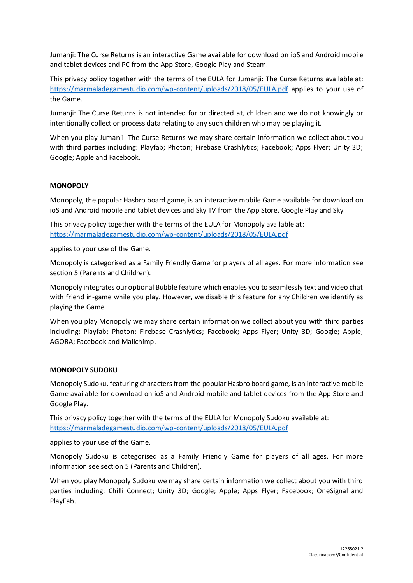Jumanji: The Curse Returns is an interactive Game available for download on ioS and Android mobile and tablet devices and PC from the App Store, Google Play and Steam.

This privacy policy together with the terms of the EULA for Jumanji: The Curse Returns available at: <https://marmaladegamestudio.com/wp-content/uploads/2018/05/EULA.pdf> applies to your use of the Game.

Jumanji: The Curse Returns is not intended for or directed at, children and we do not knowingly or intentionally collect or process data relating to any such children who may be playing it.

When you play Jumanji: The Curse Returns we may share certain information we collect about you with third parties including: Playfab; Photon; Firebase Crashlytics; Facebook; Apps Flyer; Unity 3D; Google; Apple and Facebook.

#### **MONOPOLY**

Monopoly, the popular Hasbro board game, is an interactive mobile Game available for download on ioS and Android mobile and tablet devices and Sky TV from the App Store, Google Play and Sky.

This privacy policy together with the terms of the EULA for Monopoly available at: <https://marmaladegamestudio.com/wp-content/uploads/2018/05/EULA.pdf>

applies to your use of the Game.

Monopoly is categorised as a Family Friendly Game for players of all ages. For more information see section 5 (Parents and Children).

Monopoly integrates our optional Bubble feature which enables you to seamlessly text and video chat with friend in-game while you play. However, we disable this feature for any Children we identify as playing the Game.

When you play Monopoly we may share certain information we collect about you with third parties including: Playfab; Photon; Firebase Crashlytics; Facebook; Apps Flyer; Unity 3D; Google; Apple; AGORA; Facebook and Mailchimp.

#### **MONOPOLY SUDOKU**

Monopoly Sudoku, featuring characters from the popular Hasbro board game, is an interactive mobile Game available for download on ioS and Android mobile and tablet devices from the App Store and Google Play.

This privacy policy together with the terms of the EULA for Monopoly Sudoku available at: <https://marmaladegamestudio.com/wp-content/uploads/2018/05/EULA.pdf>

applies to your use of the Game.

Monopoly Sudoku is categorised as a Family Friendly Game for players of all ages. For more information see section 5 (Parents and Children).

When you play Monopoly Sudoku we may share certain information we collect about you with third parties including: Chilli Connect; Unity 3D; Google; Apple; Apps Flyer; Facebook; OneSignal and PlayFab.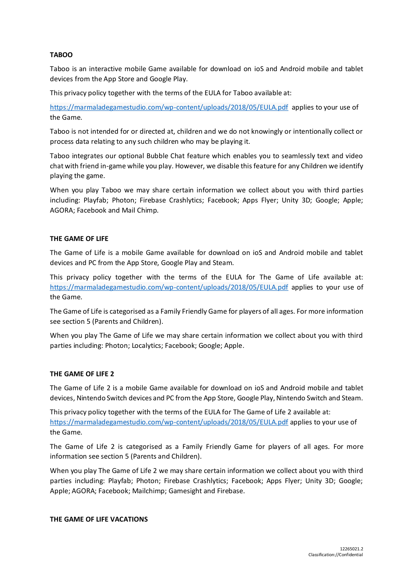#### **TABOO**

Taboo is an interactive mobile Game available for download on ioS and Android mobile and tablet devices from the App Store and Google Play.

This privacy policy together with the terms of the EULA for Taboo available at:

<https://marmaladegamestudio.com/wp-content/uploads/2018/05/EULA.pdf>applies to your use of the Game.

Taboo is not intended for or directed at, children and we do not knowingly or intentionally collect or process data relating to any such children who may be playing it.

Taboo integrates our optional Bubble Chat feature which enables you to seamlessly text and video chat with friend in-game while you play. However, we disable this feature for any Children we identify playing the game.

When you play Taboo we may share certain information we collect about you with third parties including: Playfab; Photon; Firebase Crashlytics; Facebook; Apps Flyer; Unity 3D; Google; Apple; AGORA; Facebook and Mail Chimp.

#### **THE GAME OF LIFE**

The Game of Life is a mobile Game available for download on ioS and Android mobile and tablet devices and PC from the App Store, Google Play and Steam.

This privacy policy together with the terms of the EULA for The Game of Life available at: <https://marmaladegamestudio.com/wp-content/uploads/2018/05/EULA.pdf> applies to your use of the Game.

The Game of Life is categorised as a Family Friendly Game for players of all ages. For more information see section 5 (Parents and Children).

When you play The Game of Life we may share certain information we collect about you with third parties including: Photon; Localytics; Facebook; Google; Apple.

#### **THE GAME OF LIFE 2**

The Game of Life 2 is a mobile Game available for download on ioS and Android mobile and tablet devices, Nintendo Switch devices and PC from the App Store, Google Play, Nintendo Switch and Steam.

This privacy policy together with the terms of the EULA for The Game of Life 2 available at: <https://marmaladegamestudio.com/wp-content/uploads/2018/05/EULA.pdf> applies to your use of the Game.

The Game of Life 2 is categorised as a Family Friendly Game for players of all ages. For more information see section 5 (Parents and Children).

When you play The Game of Life 2 we may share certain information we collect about you with third parties including: Playfab; Photon; Firebase Crashlytics; Facebook; Apps Flyer; Unity 3D; Google; Apple; AGORA; Facebook; Mailchimp; Gamesight and Firebase.

#### **THE GAME OF LIFE VACATIONS**